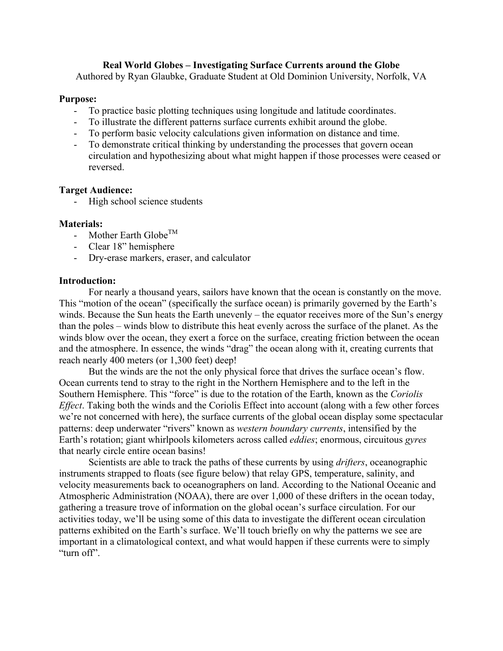### **Real World Globes – Investigating Surface Currents around the Globe**

Authored by Ryan Glaubke, Graduate Student at Old Dominion University, Norfolk, VA

#### **Purpose:**

- To practice basic plotting techniques using longitude and latitude coordinates.
- To illustrate the different patterns surface currents exhibit around the globe.
- To perform basic velocity calculations given information on distance and time.
- To demonstrate critical thinking by understanding the processes that govern ocean circulation and hypothesizing about what might happen if those processes were ceased or reversed.

### **Target Audience:**

- High school science students

### **Materials:**

- Mother Earth Globe<sup>TM</sup>
- Clear 18" hemisphere
- Dry-erase markers, eraser, and calculator

#### **Introduction:**

For nearly a thousand years, sailors have known that the ocean is constantly on the move. This "motion of the ocean" (specifically the surface ocean) is primarily governed by the Earth's winds. Because the Sun heats the Earth unevenly – the equator receives more of the Sun's energy than the poles – winds blow to distribute this heat evenly across the surface of the planet. As the winds blow over the ocean, they exert a force on the surface, creating friction between the ocean and the atmosphere. In essence, the winds "drag" the ocean along with it, creating currents that reach nearly 400 meters (or 1,300 feet) deep!

But the winds are the not the only physical force that drives the surface ocean's flow. Ocean currents tend to stray to the right in the Northern Hemisphere and to the left in the Southern Hemisphere. This "force" is due to the rotation of the Earth, known as the *Coriolis Effect*. Taking both the winds and the Coriolis Effect into account (along with a few other forces we're not concerned with here), the surface currents of the global ocean display some spectacular patterns: deep underwater "rivers" known as *western boundary currents*, intensified by the Earth's rotation; giant whirlpools kilometers across called *eddies*; enormous, circuitous *gyres*  that nearly circle entire ocean basins!

Scientists are able to track the paths of these currents by using *drifters*, oceanographic instruments strapped to floats (see figure below) that relay GPS, temperature, salinity, and velocity measurements back to oceanographers on land. According to the National Oceanic and Atmospheric Administration (NOAA), there are over 1,000 of these drifters in the ocean today, gathering a treasure trove of information on the global ocean's surface circulation. For our activities today, we'll be using some of this data to investigate the different ocean circulation patterns exhibited on the Earth's surface. We'll touch briefly on why the patterns we see are important in a climatological context, and what would happen if these currents were to simply "turn off".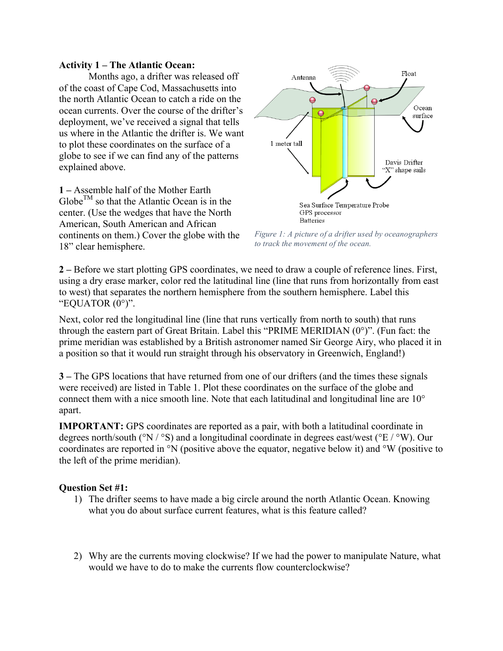#### **Activity 1 – The Atlantic Ocean:**

Months ago, a drifter was released off of the coast of Cape Cod, Massachusetts into the north Atlantic Ocean to catch a ride on the ocean currents. Over the course of the drifter's deployment, we've received a signal that tells us where in the Atlantic the drifter is. We want to plot these coordinates on the surface of a globe to see if we can find any of the patterns explained above.

**1 –** Assemble half of the Mother Earth  $G\text{lobe}^{TM}$  so that the Atlantic Ocean is in the center. (Use the wedges that have the North American, South American and African continents on them.) Cover the globe with the 18" clear hemisphere.



*Figure 1: A picture of a drifter used by oceanographers to track the movement of the ocean.*

**2 –** Before we start plotting GPS coordinates, we need to draw a couple of reference lines. First, using a dry erase marker, color red the latitudinal line (line that runs from horizontally from east to west) that separates the northern hemisphere from the southern hemisphere. Label this "EQUATOR  $(0^{\circ})$ ".

Next, color red the longitudinal line (line that runs vertically from north to south) that runs through the eastern part of Great Britain. Label this "PRIME MERIDIAN (0°)". (Fun fact: the prime meridian was established by a British astronomer named Sir George Airy, who placed it in a position so that it would run straight through his observatory in Greenwich, England!)

**3 –** The GPS locations that have returned from one of our drifters (and the times these signals were received) are listed in Table 1. Plot these coordinates on the surface of the globe and connect them with a nice smooth line. Note that each latitudinal and longitudinal line are 10° apart.

**IMPORTANT:** GPS coordinates are reported as a pair, with both a latitudinal coordinate in degrees north/south (°N / °S) and a longitudinal coordinate in degrees east/west (°E / °W). Our coordinates are reported in °N (positive above the equator, negative below it) and °W (positive to the left of the prime meridian).

### **Question Set #1:**

- 1) The drifter seems to have made a big circle around the north Atlantic Ocean. Knowing what you do about surface current features, what is this feature called?
- 2) Why are the currents moving clockwise? If we had the power to manipulate Nature, what would we have to do to make the currents flow counterclockwise?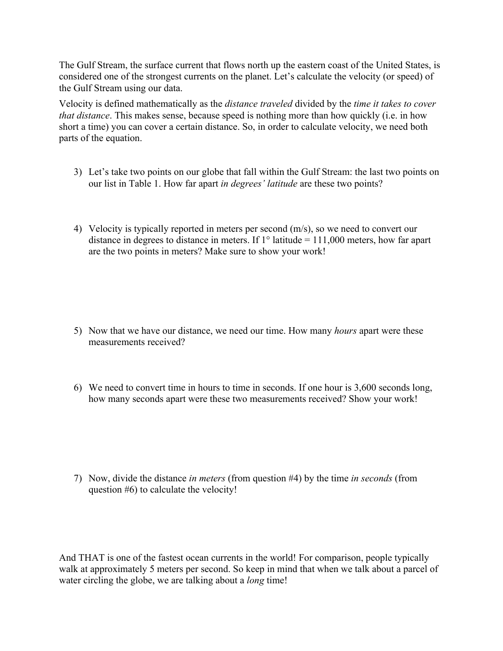The Gulf Stream, the surface current that flows north up the eastern coast of the United States, is considered one of the strongest currents on the planet. Let's calculate the velocity (or speed) of the Gulf Stream using our data.

Velocity is defined mathematically as the *distance traveled* divided by the *time it takes to cover that distance*. This makes sense, because speed is nothing more than how quickly (i.e. in how short a time) you can cover a certain distance. So, in order to calculate velocity, we need both parts of the equation.

- 3) Let's take two points on our globe that fall within the Gulf Stream: the last two points on our list in Table 1. How far apart *in degrees' latitude* are these two points?
- 4) Velocity is typically reported in meters per second (m/s), so we need to convert our distance in degrees to distance in meters. If  $1^{\circ}$  latitude = 111,000 meters, how far apart are the two points in meters? Make sure to show your work!

- 5) Now that we have our distance, we need our time. How many *hours* apart were these measurements received?
- 6) We need to convert time in hours to time in seconds. If one hour is 3,600 seconds long, how many seconds apart were these two measurements received? Show your work!

7) Now, divide the distance *in meters* (from question #4) by the time *in seconds* (from question #6) to calculate the velocity!

And THAT is one of the fastest ocean currents in the world! For comparison, people typically walk at approximately 5 meters per second. So keep in mind that when we talk about a parcel of water circling the globe, we are talking about a *long* time!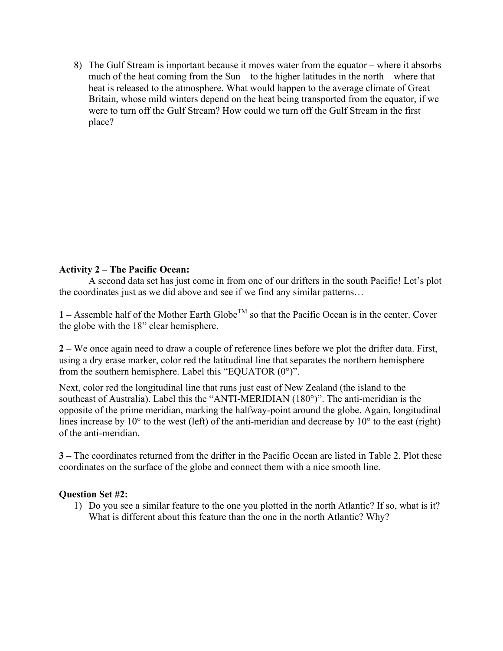8) The Gulf Stream is important because it moves water from the equator – where it absorbs much of the heat coming from the Sun – to the higher latitudes in the north – where that heat is released to the atmosphere. What would happen to the average climate of Great Britain, whose mild winters depend on the heat being transported from the equator, if we were to turn off the Gulf Stream? How could we turn off the Gulf Stream in the first place?

# **Activity 2 – The Pacific Ocean:**

A second data set has just come in from one of our drifters in the south Pacific! Let's plot the coordinates just as we did above and see if we find any similar patterns…

**1** – Assemble half of the Mother Earth Globe<sup>TM</sup> so that the Pacific Ocean is in the center. Cover the globe with the 18" clear hemisphere.

**2 –** We once again need to draw a couple of reference lines before we plot the drifter data. First, using a dry erase marker, color red the latitudinal line that separates the northern hemisphere from the southern hemisphere. Label this "EQUATOR (0°)".

Next, color red the longitudinal line that runs just east of New Zealand (the island to the southeast of Australia). Label this the "ANTI-MERIDIAN (180°)". The anti-meridian is the opposite of the prime meridian, marking the halfway-point around the globe. Again, longitudinal lines increase by  $10^{\circ}$  to the west (left) of the anti-meridian and decrease by  $10^{\circ}$  to the east (right) of the anti-meridian.

**3 –** The coordinates returned from the drifter in the Pacific Ocean are listed in Table 2. Plot these coordinates on the surface of the globe and connect them with a nice smooth line.

### **Question Set #2:**

1) Do you see a similar feature to the one you plotted in the north Atlantic? If so, what is it? What is different about this feature than the one in the north Atlantic? Why?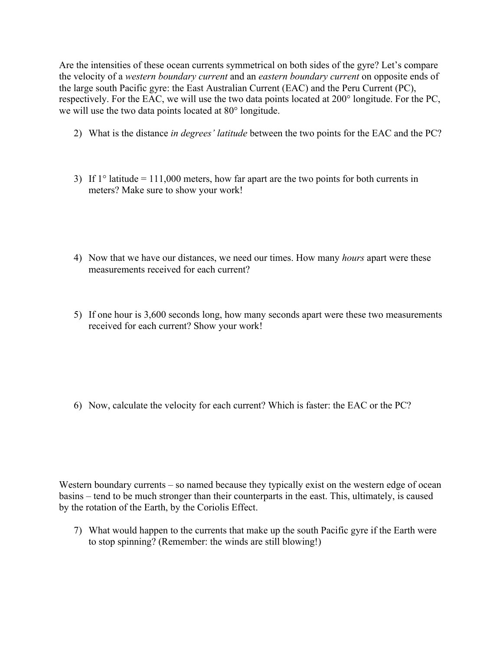Are the intensities of these ocean currents symmetrical on both sides of the gyre? Let's compare the velocity of a *western boundary current* and an *eastern boundary current* on opposite ends of the large south Pacific gyre: the East Australian Current (EAC) and the Peru Current (PC), respectively. For the EAC, we will use the two data points located at 200° longitude. For the PC, we will use the two data points located at 80° longitude.

- 2) What is the distance *in degrees' latitude* between the two points for the EAC and the PC?
- 3) If  $1^\circ$  latitude = 111,000 meters, how far apart are the two points for both currents in meters? Make sure to show your work!
- 4) Now that we have our distances, we need our times. How many *hours* apart were these measurements received for each current?
- 5) If one hour is 3,600 seconds long, how many seconds apart were these two measurements received for each current? Show your work!

6) Now, calculate the velocity for each current? Which is faster: the EAC or the PC?

Western boundary currents – so named because they typically exist on the western edge of ocean basins – tend to be much stronger than their counterparts in the east. This, ultimately, is caused by the rotation of the Earth, by the Coriolis Effect.

7) What would happen to the currents that make up the south Pacific gyre if the Earth were to stop spinning? (Remember: the winds are still blowing!)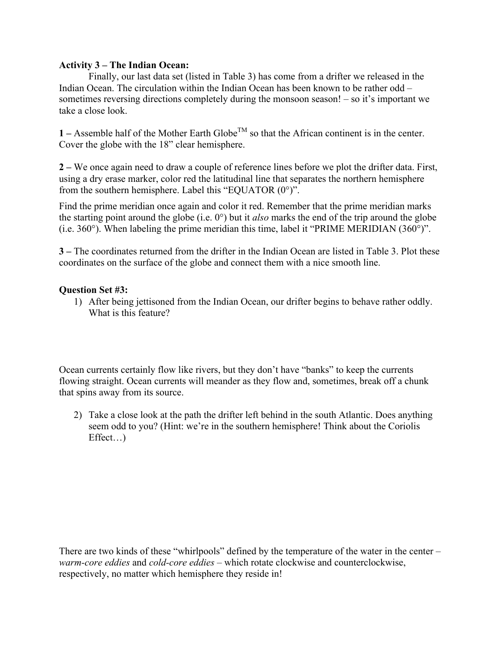## **Activity 3 – The Indian Ocean:**

Finally, our last data set (listed in Table 3) has come from a drifter we released in the Indian Ocean. The circulation within the Indian Ocean has been known to be rather odd – sometimes reversing directions completely during the monsoon season! – so it's important we take a close look.

**1** – Assemble half of the Mother Earth Globe<sup>TM</sup> so that the African continent is in the center. Cover the globe with the 18" clear hemisphere.

**2 –** We once again need to draw a couple of reference lines before we plot the drifter data. First, using a dry erase marker, color red the latitudinal line that separates the northern hemisphere from the southern hemisphere. Label this "EQUATOR (0°)".

Find the prime meridian once again and color it red. Remember that the prime meridian marks the starting point around the globe (i.e. 0°) but it *also* marks the end of the trip around the globe (i.e. 360°). When labeling the prime meridian this time, label it "PRIME MERIDIAN (360°)".

**3 –** The coordinates returned from the drifter in the Indian Ocean are listed in Table 3. Plot these coordinates on the surface of the globe and connect them with a nice smooth line.

## **Question Set #3:**

1) After being jettisoned from the Indian Ocean, our drifter begins to behave rather oddly. What is this feature?

Ocean currents certainly flow like rivers, but they don't have "banks" to keep the currents flowing straight. Ocean currents will meander as they flow and, sometimes, break off a chunk that spins away from its source.

2) Take a close look at the path the drifter left behind in the south Atlantic. Does anything seem odd to you? (Hint: we're in the southern hemisphere! Think about the Coriolis Effect…)

There are two kinds of these "whirlpools" defined by the temperature of the water in the center – *warm-core eddies* and *cold-core eddies* – which rotate clockwise and counterclockwise, respectively, no matter which hemisphere they reside in!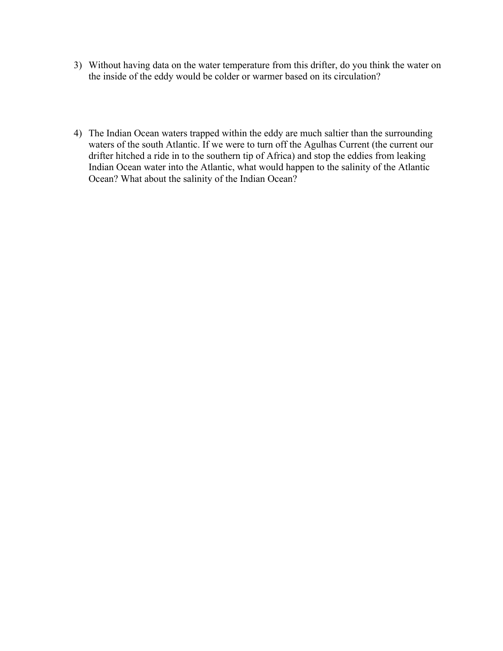- 3) Without having data on the water temperature from this drifter, do you think the water on the inside of the eddy would be colder or warmer based on its circulation?
- 4) The Indian Ocean waters trapped within the eddy are much saltier than the surrounding waters of the south Atlantic. If we were to turn off the Agulhas Current (the current our drifter hitched a ride in to the southern tip of Africa) and stop the eddies from leaking Indian Ocean water into the Atlantic, what would happen to the salinity of the Atlantic Ocean? What about the salinity of the Indian Ocean?